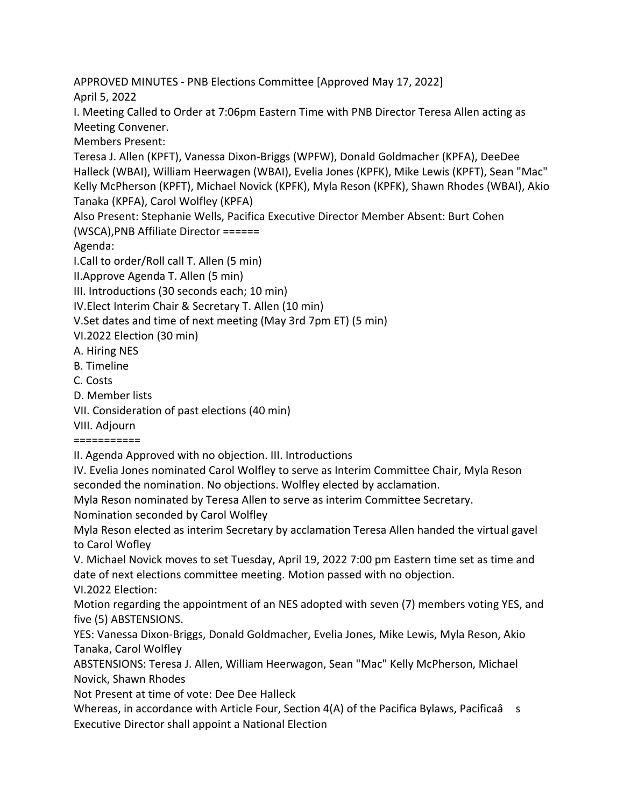APPROVED MINUTES - PNB Elections Committee [Approved May 17, 2022] April 5, 2022

I. Meeting Called to Order at 7:06pm Eastern Time with PNB Director Teresa Allen acting as Meeting Convener.

Members Present:

Teresa J. Allen (KPFT), Vanessa Dixon-Briggs (WPFW), Donald Goldmacher (KPFA), DeeDee Halleck (WBAI), William Heerwagen (WBAI), Evelia Jones (KPFK), Mike Lewis (KPFT), Sean "Mac" Kelly McPherson (KPFT), Michael Novick (KPFK), Myla Reson (KPFK), Shawn Rhodes (WBAI), Akio Tanaka (KPFA), Carol Wolfley (KPFA)

Also Present: Stephanie Wells, Pacifica Executive Director Member Absent: Burt Cohen (WSCA),PNB Affiliate Director ======

Agenda:

I.Call to order/Roll call T. Allen (5 min)

II.Approve Agenda T. Allen (5 min)

III. Introductions (30 seconds each; 10 min)

IV.Elect Interim Chair & Secretary T. Allen (10 min)

V.Set dates and time of next meeting (May 3rd 7pm ET) (5 min)

VI.2022 Election (30 min)

A. Hiring NES

B. Timeline

C. Costs

D. Member lists

VII. Consideration of past elections (40 min)

VIII. Adjourn

===========

II. Agenda Approved with no objection. III. Introductions

IV. Evelia Jones nominated Carol Wolfley to serve as Interim Committee Chair, Myla Reson seconded the nomination. No objections. Wolfley elected by acclamation.

Myla Reson nominated by Teresa Allen to serve as interim Committee Secretary.

Nomination seconded by Carol Wolfley

Myla Reson elected as interim Secretary by acclamation Teresa Allen handed the virtual gavel to Carol Wofley

V. Michael Novick moves to set Tuesday, April 19, 2022 7:00 pm Eastern time set as time and date of next elections committee meeting. Motion passed with no objection. VI.2022 Election:

Motion regarding the appointment of an NES adopted with seven (7) members voting YES, and five (5) ABSTENSIONS.

YES: Vanessa Dixon-Briggs, Donald Goldmacher, Evelia Jones, Mike Lewis, Myla Reson, Akio Tanaka, Carol Wolfley

ABSTENSIONS: Teresa J. Allen, William Heerwagon, Sean "Mac" Kelly McPherson, Michael Novick, Shawn Rhodes

Not Present at time of vote: Dee Dee Halleck

Whereas, in accordance with Article Four, Section  $4(A)$  of the Pacifica Bylaws, Pacificaâ s Executive Director shall appoint a National Election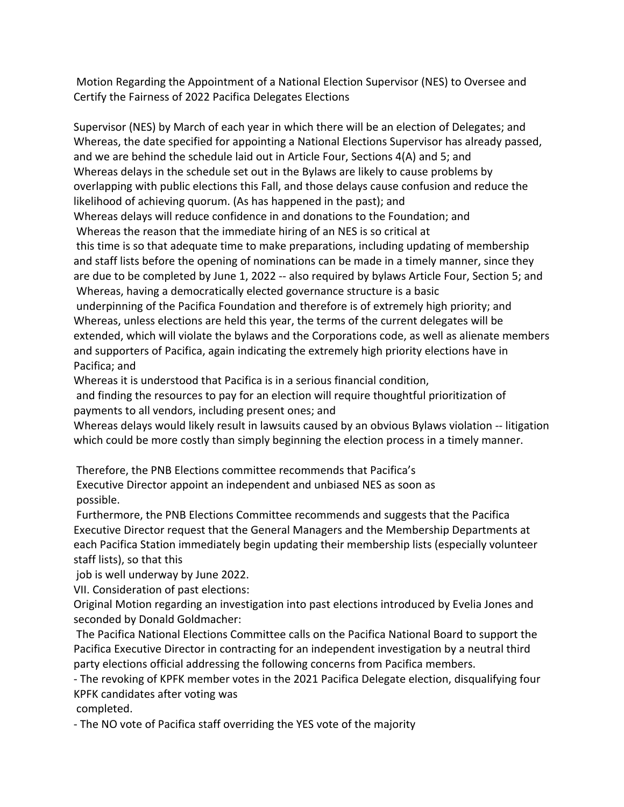Motion Regarding the Appointment of a National Election Supervisor (NES) to Oversee and Certify the Fairness of 2022 Pacifica Delegates Elections

Supervisor (NES) by March of each year in which there will be an election of Delegates; and Whereas, the date specified for appointing a National Elections Supervisor has already passed, and we are behind the schedule laid out in Article Four, Sections 4(A) and 5; and Whereas delays in the schedule set out in the Bylaws are likely to cause problems by overlapping with public elections this Fall, and those delays cause confusion and reduce the likelihood of achieving quorum. (As has happened in the past); and

Whereas delays will reduce confidence in and donations to the Foundation; and Whereas the reason that the immediate hiring of an NES is so critical at

this time is so that adequate time to make preparations, including updating of membership and staff lists before the opening of nominations can be made in a timely manner, since they are due to be completed by June 1, 2022 -- also required by bylaws Article Four, Section 5; and Whereas, having a democratically elected governance structure is a basic

underpinning of the Pacifica Foundation and therefore is of extremely high priority; and Whereas, unless elections are held this year, the terms of the current delegates will be extended, which will violate the bylaws and the Corporations code, as well as alienate members and supporters of Pacifica, again indicating the extremely high priority elections have in Pacifica; and

Whereas it is understood that Pacifica is in a serious financial condition,

and finding the resources to pay for an election will require thoughtful prioritization of payments to all vendors, including present ones; and

Whereas delays would likely result in lawsuits caused by an obvious Bylaws violation -- litigation which could be more costly than simply beginning the election process in a timely manner.

Therefore, the PNB Elections committee recommends that Pacifica's

Executive Director appoint an independent and unbiased NES as soon as possible.

Furthermore, the PNB Elections Committee recommends and suggests that the Pacifica Executive Director request that the General Managers and the Membership Departments at each Pacifica Station immediately begin updating their membership lists (especially volunteer staff lists), so that this

job is well underway by June 2022.

VII. Consideration of past elections:

Original Motion regarding an investigation into past elections introduced by Evelia Jones and seconded by Donald Goldmacher:

The Pacifica National Elections Committee calls on the Pacifica National Board to support the Pacifica Executive Director in contracting for an independent investigation by a neutral third party elections official addressing the following concerns from Pacifica members.

- The revoking of KPFK member votes in the 2021 Pacifica Delegate election, disqualifying four KPFK candidates after voting was

completed.

- The NO vote of Pacifica staff overriding the YES vote of the majority